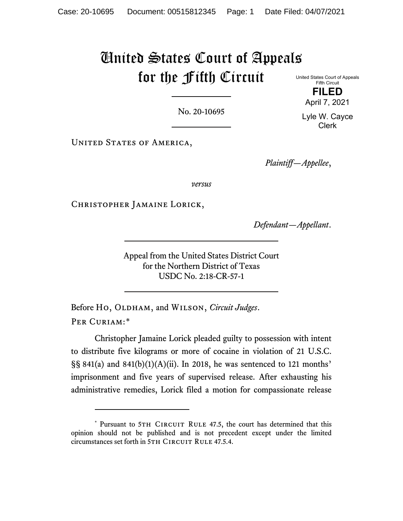## United States Court of Appeals for the Fifth Circuit

No. 20-10695

UNITED STATES OF AMERICA,

*Plaintiff—Appellee*,

*versus*

Christopher Jamaine Lorick,

*Defendant—Appellant*.

Appeal from the United States District Court for the Northern District of Texas USDC No. 2:18-CR-57-1

Before Ho, OLDHAM, and WILSON, *Circuit Judges*. PER CURIAM:[\\*](#page-0-0)

Christopher Jamaine Lorick pleaded guilty to possession with intent to distribute five kilograms or more of cocaine in violation of 21 U.S.C.  $\S$ § 841(a) and 841(b)(1)(A)(ii). In 2018, he was sentenced to 121 months' imprisonment and five years of supervised release. After exhausting his administrative remedies, Lorick filed a motion for compassionate release

April 7, 2021 Lyle W. Cayce Clerk

**FILED**

United States Court of Appeals Fifth Circuit

<span id="page-0-0"></span><sup>\*</sup> Pursuant to 5TH CIRCUIT RULE 47.5, the court has determined that this opinion should not be published and is not precedent except under the limited circumstances set forth in 5TH CIRCUIT RULE 47.5.4.